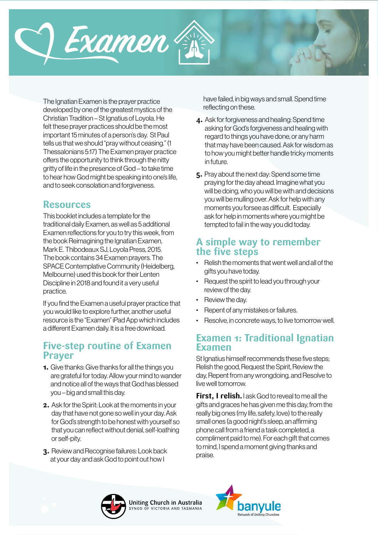

The Ignatian Examen is the prayer practice developed by one of the greatest mystics of the Christian Tradition – St Ignatius of Loyola. He felt these prayer practices should be the most important 15 minutes of a person's day. St Paul tells us that we should "pray without ceasing." (1 Thessalonians 5:17) The Examen prayer practice offers the opportunity to think through the nitty gritty of life in the presence of God – to take time to hear how God might be speaking into one's life, and to seek consolation and forgiveness.

### **Resources**

This booklet includes a template for the traditional daily Examen, as well as 5 additional Examen reflections for you to try this week, from the book Reimagining the Ignatian Examen, Mark E. Thibodeaux SJ, Loyola Press, 2015. The book contains 34 Examen prayers. The SPACE Contemplative Community (Heidelberg, Melbourne) used this book for their Lenten Discipline in 2018 and found it a very useful practice.

If you find the Examen a useful prayer practice that you would like to explore further, another useful resource is the "Examen" iPad App which includes a different Examen daily. It is a free download.

#### **Five-step routine of Examen Prayer**

- **1.** Give thanks: Give thanks for all the things you are grateful for today. Allow your mind to wander and notice all of the ways that God has blessed you – big and small this day.
- **2.** Ask for the Spirit: Look at the moments in your day that have not gone so well in your day. Ask for God's strength to be honest with yourself so that you can reflect without denial, self-loathing or self-pity.
- **3.** Review and Recognise failures: Look back at your day and ask God to point out how I

have failed, in big ways and small. Spend time reflecting on these.

- **4.** Ask for forgiveness and healing: Spend time asking for God's forgiveness and healing with regard to things you have done, or any harm that may have been caused. Ask for wisdom as to how you might better handle tricky moments in future.
- **5.** Pray about the next day: Spend some time praying for the day ahead. Imagine what you will be doing, who you will be with and decisions you will be mulling over. Ask for help with any moments you forsee as difficult. Especially ask for help in moments where you might be tempted to fail in the way you did today.

#### **A simple way to remember the five steps**

- Relish the moments that went well and all of the gifts you have today.
- Request the spirit to lead you through your review of the day.
- Review the day.
- Repent of any mistakes or failures.
- Resolve, in concrete ways, to live tomorrow well.

#### **Examen 1: Traditional Ignatian Examen**

St Ignatius himself recommends these five steps; Relish the good, Request the Spirit, Review the day, Repent from any wrongdoing, and Resolve to live well tomorrow.

**First, I relish.** I ask God to reveal to me all the gifts and graces he has given me this day, from the really big ones (my life, safety, love) to the really small ones (a good night's sleep, an affirming phone call from a friend a task completed, a compliment paid to me). For each gift that comes to mind, I spend a moment giving thanks and praise.



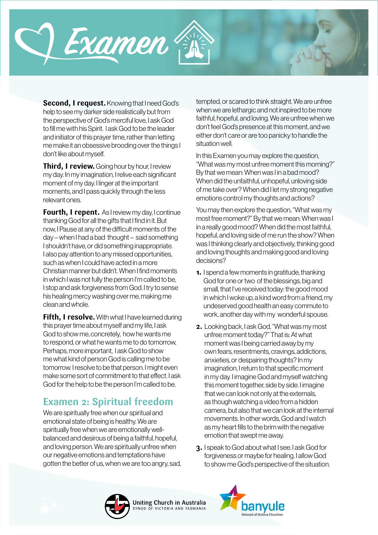

**Second, I request.** Knowing that I need God's help to see my darker side realistically but from the perspective of God's merciful love, I ask God to fill me with his Spirit. l ask God to be the leader and initiator of this prayer time, rather than letting me make it an obsessive brooding over the things I don't like about myself.

**Third, I review.** Going hour by hour, I review my day. In my imagination, I relive each significant moment of my day. I linger at the important moments, and I pass quickly through the less relevant ones.

**Fourth, I repent.** As I review my day, I continue thanking God for all the gifts that I find in it. But now, I Pause at any of the difficult moments of the day – when I had a bad thought – said something I shouldn't have, or did something inappropriate. I also pay attention to any missed opportunities, such as when I could have acted in a more Christian manner but didn't. When I find moments in which I was not fully the person I'm called to be, I stop and ask forgiveness from God. I try to sense his healing mercy washing over me, making me clean and whole.

**Fifth, I resolve.** With what I have learned during this prayer time about myself and my life, I ask God to show me, concretely, how he wants me to respond, or what he wants me to do tomorrow, Perhaps, more important, I ask God to show me what kind of person God is calling me to be tomorrow. I resolve to be that person. I might even make some sort of commitment to that effect. I ask God for the help to be the person I'm called to be.

# **Examen 2: Spiritual freedom**

We are spiritually free when our spiritual and emotional state of being is healthy. We are spiritually free when we are emotionally wellbalanced and desirous of being a faithful, hopeful, and loving person. We are spiritually unfree when our negative emotions and temptations have gotten the better of us, when we are too angry, sad,

tempted, or scared to think straight. We are unfree when we are lethargic and not inspired to be more faithful, hopeful, and loving. We are unfree when we don't feel God's presence at this moment, and we either don't care or are too panicky to handle the situation well.

In this Examen you may explore the question, "What was my most unfree moment this morning?" By that we mean: When was I in a bad mood? When did the unfaithful, unhopeful, unloving side of me take over? When did I let my strong negative emotions control my thoughts and actions?

You may then explore the question, "What was my most free moment?" By that we mean: When was I in a really good mood? When did the most faithful, hopeful, and loving side of me run the show? When was I thinking clearly and objectively, thinking good and loving thoughts and making good and loving decisions?

- **1.** I spend a few moments in gratitude, thanking God for one or two of the blessings, big and small, that I've received today: the good mood in which I woke up, a kind word from a friend, my undeserved good health an easy commute to work, another day with my wonderful spouse.
- **2.** Looking back, I ask God, "What was my most unfree moment today?" That is: At what moment was I being carried away by my own fears, resentments, cravings, addictions, anxieties, or despairing thoughts? In my imagination, I return to that specific moment in my day. I imagine God and myself watching this moment together, side by side. I imagine that we can look not only at the externals, as though watching a video from a hidden camera, but also that we can look at the internal movements. In other words, God and I watch as my heart fills to the brim with the negative emotion that swept me away.
- **3.** I speak to God about what I see. I ask God for forgiveness or maybe for healing. I allow God to show me God's perspective of the situation.



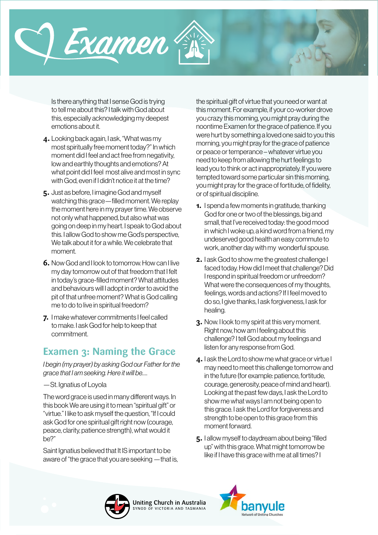

Is there anything that I sense God is trying to tell me about this? I talk with God about this, especially acknowledging my deepest emotions about it.

- **4.** Looking back again, I ask, "What was my most spiritually free moment today?" In which moment did I feel and act free from negativity, low and earthly thoughts and emotions? At what point did I feel most alive and most in sync with God, even if I didn't notice it at the time?
- **5.** Just as before, I imagine God and myself watching this grace—filled moment. We replay the moment here in my prayer time. We observe not only what happened, but also what was going on deep in my heart. I speak to God about this. I allow God to show me God's perspective, We talk about it for a while. We celebrate that moment.
- **6.** Now God and I look to tomorrow. How can I live my day tomorrow out of that freedom that I felt in today's grace-filled moment? What attitudes and behaviours will I adopt in order to avoid the pit of that unfree moment? What is God calling me to do to live in spiritual freedom?
- **7.** I make whatever commitments I feel called to make. I ask God for help to keep that commitment.

# **Examen 3: Naming the Grace**

*I begin (my prayer) by asking God our Father for the grace that I am seeking. Here it will be…*.

—St. Ignatius of Loyola

The word grace is used in many different ways. In this book We are using it to mean "spiritual gift" or "virtue." I like to ask myself the question, "If I could ask God for one spiritual gift right now (courage, peace, clarity, patience strength), what would it be?"

Saint Ignatius believed that It IS important to be aware of "the grace that you are seeking —that is,

the spiritual gift of virtue that you need or want at this moment. For example, if your co-worker drove you crazy this morning, you might pray during the noontime Examen for the grace of patience. If you were hurt by something a loved one said to you this morning, you might pray for the grace of patience or peace or temperance – whatever virtue you need to keep from allowing the hurt feelings to lead you to think or act inappropriately. If you were tempted toward some particular sin this morning, you might pray for the grace of fortitude, of fidelity, or of spiritual discipline.

- **1.** I spend a few moments in gratitude, thanking God for one or two of the blessings, big and small, that I've received today: the good mood in which I woke up, a kind word from a friend, my undeserved good health an easy commute to work, another day with my wonderful spouse.
- **2.** I ask God to show me the greatest challenge I faced today. How did I meet that challenge? Did I respond in spiritual freedom or unfreedom? What were the consequences of my thoughts, feelings, words and actions? If I feel moved to do so, I give thanks, I ask forgiveness, I ask for healing.
- **3.** Now. I look to my spirit at this very moment. Right now, how am l feeling about this challenge? I tell God about my feelings and listen for any response from God.
- **4.** I ask the Lord to show me what grace or virtue I may need to meet this challenge tomorrow and in the future (for example: patience, fortitude, courage, generosity, peace of mind and heart). Looking at the past few days, I ask the Lord to show me what ways I am not being open to this grace. I ask the Lord for forgiveness and strength to be open to this grace from this moment forward.
- **5.** I allow myself to daydream about being "filled up" with this grace. What might tomorrow be like if I have this grace with me at all times? I



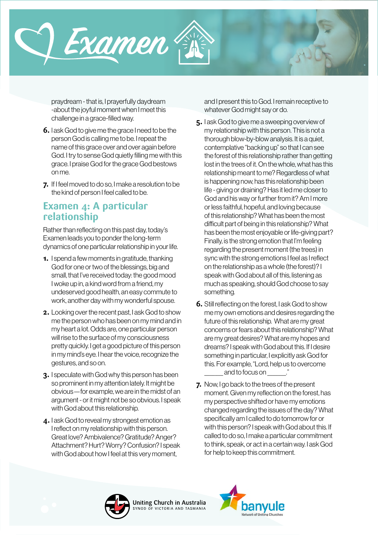

praydream - that is, I prayerfully daydream -about the joyful moment when I meet this challenge in a grace-filled way.

- **6.** l ask God to give me the grace I need to be the person God is calling me to be. I repeat the name of this grace over and over again before God. I try to sense God quietly filling me with this grace. I praise God for the grace God bestows on me.
- **7.** If I feel moved to do so, I make a resolution to be the kind of person I feel called to be.

### **Examen 4: A particular relationship**

Rather than reflecting on this past day, today's Examen leads you to ponder the long-term dynamics of one particular relationship in your life.

- **1.** I spend a few moments in gratitude, thanking God for one or two of the blessings, big and small, that I've received today: the good mood I woke up in, a kind word from a friend, my undeserved good health, an easy commute to work, another day with my wonderful spouse.
- **2.** Looking over the recent past, I ask God to show me the person who has been on my mind and in my heart a lot. Odds are, one particular person will rise to the surface of my consciousness pretty quickly. I get a good picture of this person in my mind's eye. I hear the voice, recognize the gestures, and so on.
- **3.** I speculate with God why this person has been so prominent in my attention lately. It might be obvious—for example, we are in the midst of an argument - or it might not be so obvious. I speak with God about this relationship.
- **4.** I ask God to reveal my strongest emotion as I reflect on my relationship with this person. Great love? Ambivalence? Gratitude? Anger? Attachment? Hurt? Worry? Confusion? I speak with God about how I feel at this very moment,

and I present this to God. I remain receptive to whatever God might say or do.

- **5.** I ask God to give me a sweeping overview of my relationship with this person. This is not a thorough blow-by-blow analysis. It is a quiet, contemplative "backing up" so that I can see the forest of this relationship rather than getting lost in the trees of it. On the whole, what has this relationship meant to me? Regardless of what is happening now, has this relationship been life - giving or draining? Has it led me closer to God and his way or further from it? Am I more or less faithful, hopeful, and loving because of this relationship? What has been the most difficult part of being in this relationship? What has been the most enjoyable or life-giving part? Finally, is the strong emotion that I'm feeling regarding the present moment (the trees) in sync with the strong emotions I feel as I reflect on the relationship as a whole (the forest)? I speak with God about all of this, listening as much as speaking, should God choose to say something.
- **6.** Still reflecting on the forest, I ask God to show me my own emotions and desires regarding the future of this relationship. What are my great concerns or fears about this relationship? What are my great desires? What are my hopes and dreams? I speak with God about this. If I desire something in particular, I explicitly ask God for this. For example, "Lord, help us to overcome and to focus on  $\qquad$ .
- **7.** Now, I go back to the trees of the present moment. Given my reflection on the forest, has my perspective shifted or have my emotions changed regarding the issues of the day? What specifically am I called to do tomorrow for or with this person? I speak with God about this. If called to do so, I make a particular commitment to think, speak, or act in a certain way. I ask God for help to keep this commitment.



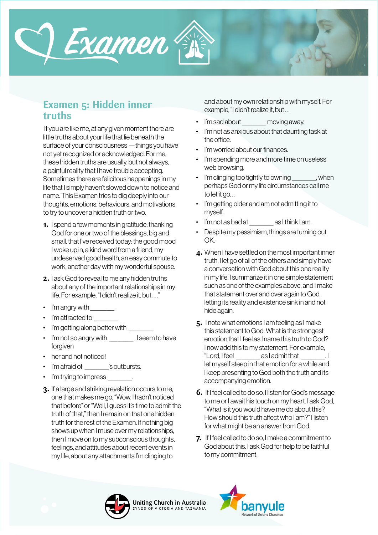

### **Examen 5: Hidden inner truths**

 If you are like me, at any given moment there are little truths about your life that lie beneath the surface of your consciousness —things you have not yet recognized or acknowledged. For me, these hidden truths are usually, but not always, a painful reality that I have trouble accepting. Sometimes there are felicitous happenings in my life that I simply haven't slowed down to notice and name. This Examen tries to dig deeply into our thoughts, emotions, behaviours, and motivations to try to uncover a hidden truth or two.

- **1.** I spend a few moments in gratitude, thanking God for one or two of the blessings, big and small, that I've received today: the good mood I woke up in, a kind word from a friend, my undeserved good health, an easy commute to work, another day with my wonderful spouse.
- **2.** I ask God to reveal to me any hidden truths about any of the important relationships in my life. For example, "I didn't realize it, but . . ."
- I'm angry with
- I'm attracted to
- I'm getting along better with
- I'm not so angry with **contact 1** . I seem to have forgiven
- her and not noticed!
- I'm afraid of  $\qquad$  is outbursts.
- I'm trying to impress  $\qquad \qquad .$
- **3.** If a large and striking revelation occurs to me, one that makes me go, "Wow, I hadn't noticed that before" or "Well, I guess it's time to admit the truth of that," then I remain on that one hidden truth for the rest of the Examen. If nothing big shows up when I muse over my relationships, then I move on to my subconscious thoughts, feelings, and attitudes about recent events in my life, about any attachments I'm clinging to,

and about my own relationship with myself. For example, "I didn't realize it, but . ..

- I'm sad about \_\_\_\_\_\_\_\_\_ moving away.
- I'm not as anxious about that daunting task at the office.
- I'm worried about our finances.
- I'm spending more and more time on useless web browsing.
- I'm clinging too tightly to owning when perhaps God or my life circumstances call me to let it go...
- I'm getting older and am not admitting it to myself.
- I'm not as bad at  $\qquad \qquad$  as I think I am.
- Despite my pessimism, things are turning out OK.
- **4.** When I have settled on the most important inner truth, I let go of all of the others and simply have a conversation with God about this one reality in my life. I summarize it in one simple statement such as one of the examples above, and I make that statement over and over again to God, letting its reality and existence sink in and not hide again.
- **5.** I note what emotions I am feeling as I make this statement to God. What is the strongest emotion that I feel as I name this truth to God? I now add this to my statement. For example, "Lord, I feel \_\_\_\_\_\_\_\_\_ as I admit that \_\_\_\_\_\_\_\_\_. I let myself steep in that emotion for a while and l keep presenting to God both the truth and its accompanying emotion.
- **6.** If I feel called to do so, I listen for God's message to me or I await his touch on my heart. I ask God, "What is it you would have me do about this? How should this truth affect who I am?" I listen for what might be an answer from God.
- **7.** If I feel called to do so, I make a commitment to God about this. I ask God for help to be faithful to my commitment.